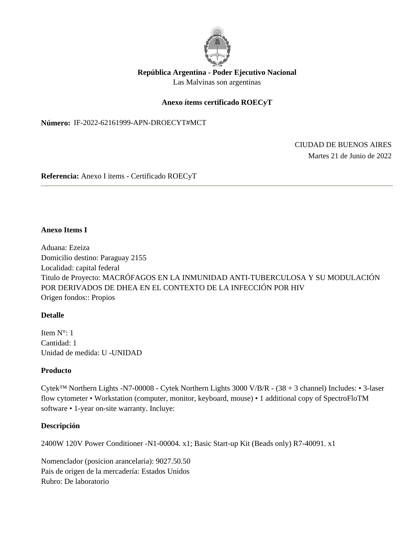

# **República Argentina - Poder Ejecutivo Nacional** Las Malvinas son argentinas

## **Anexo ítems certificado ROECyT**

**Número: IF-2022-62161999-APN-DROECYT#MCT** 

IF-2022-62161999-APN-DROECYT#MCT<br>CIUDAD DE BUENOS AIRES<br>Martes 21 de Junio de 2022

**Referencia:** Anexo I items - Certificado ROECyT

#### **Anexo Items I**

Aduana: Ezeiza Domicilio destino: Paraguay 2155 Localidad: capital federal Titulo de Proyecto: MACRÓFAGOS EN LA INMUNIDAD ANTI-TUBERCULOSA Y SU MODULACIÓN POR DERIVADOS DE DHEA EN EL CONTEXTO DE LA INFECCIÓN POR HIV Origen fondos:: Propios

### **Detalle**

Item N°: 1 Cantidad: 1 Unidad de medida: U -UNIDAD

### **Producto**

Cytek™ Northern Lights -N7-00008 - Cytek Northern Lights 3000 V/B/R - (38 + 3 channel) Includes: • 3-laser flow cytometer • Workstation (computer, monitor, keyboard, mouse) • 1 additional copy of SpectroFloTM software • 1-year on-site warranty. Incluye:

### **Descripción**

2400W 120V Power Conditioner -N1-00004. x1; Basic Start-up Kit (Beads only) R7-40091. x1

Nomenclador (posicion arancelaria): 9027.50.50 Pais de origen de la mercadería: Estados Unidos Rubro: De laboratorio